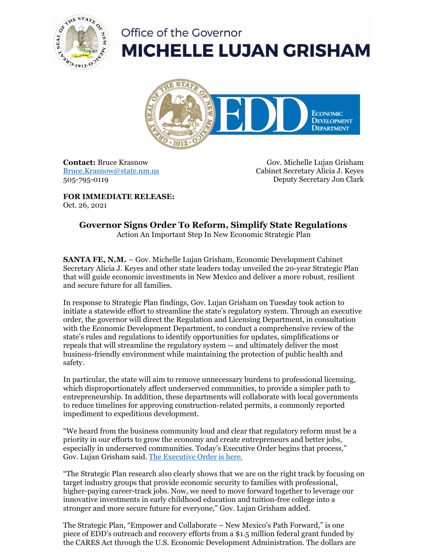

## Office of the Governor **MICHELLE LUJAN GRISHAM**



**Contact:** Bruce Krasnow [Bruce.Krasnow@state.nm.us](mailto:Bruce.Krasnow@state.nm.us) 505-795-0119

Gov. Michelle Lujan Grisham Cabinet Secretary Alicia J. Keyes Deputy Secretary Jon Clark

**FOR IMMEDIATE RELEASE:** Oct. 26, 2021

## **Governor Signs Order To Reform, Simplify State Regulations**

Action An Important Step In New Economic Strategic Plan

**SANTA FE, N.M.** – Gov. Michelle Lujan Grisham, Economic Development Cabinet Secretary Alicia J. Keyes and other state leaders today unveiled the 20-year Strategic Plan that will guide economic investments in New Mexico and deliver a more robust, resilient and secure future for all families.

In response to Strategic Plan findings, Gov. Lujan Grisham on Tuesday took action to initiate a statewide effort to streamline the state's regulatory system. Through an executive order, the governor will direct the Regulation and Licensing Department, in consultation with the Economic Development Department, to conduct a comprehensive review of the state's rules and regulations to identify opportunities for updates, simplifications or repeals that will streamline the regulatory system -- and ultimately deliver the most business-friendly environment while maintaining the protection of public health and safety.

In particular, the state will aim to remove unnecessary burdens to professional licensing, which disproportionately affect underserved communities, to provide a simpler path to entrepreneurship. In addition, these departments will collaborate with local governments to reduce timelines for approving construction-related permits, a commonly reported impediment to expeditious development.

"We heard from the business community loud and clear that regulatory reform must be a priority in our efforts to grow the economy and create entrepreneurs and better jobs, especially in underserved communities. Today's Executive Order begins that process," Gov. Lujan Grisham said. The [Executive](https://files.constantcontact.com/c6415b07101/bbab4955-52cf-45c0-b616-64664aa1b22f.pdf) Order is here.

"The Strategic Plan research also clearly shows that we are on the right track by focusing on target industry groups that provide economic security to families with professional, higher-paying career-track jobs. Now, we need to move forward together to leverage our innovative investments in early childhood education and tuition-free college into a stronger and more secure future for everyone," Gov. Lujan Grisham added.

The Strategic Plan, "Empower and Collaborate – New Mexico's Path Forward," is one piece of EDD's outreach and recovery efforts from a \$1.5 million federal grant funded by the CARES Act through the U.S. Economic Development Administration. The dollars are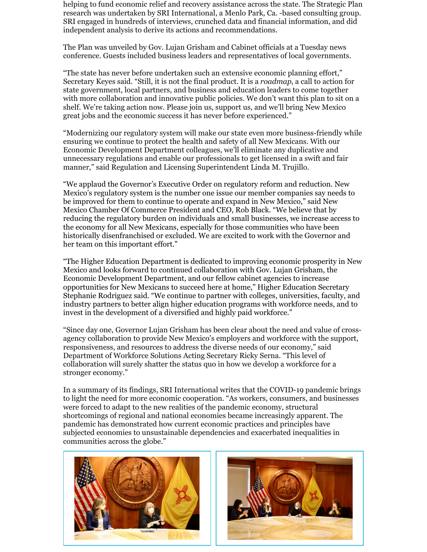helping to fund economic relief and recovery assistance across the state. The Strategic Plan research was undertaken by SRI International, a Menlo Park, Ca. -based consulting group. SRI engaged in hundreds of interviews, crunched data and financial information, and did independent analysis to derive its actions and recommendations.

The Plan was unveiled by Gov. Lujan Grisham and Cabinet officials at a Tuesday news conference. Guests included business leaders and representatives of local governments.

"The state has never before undertaken such an extensive economic planning effort," Secretary Keyes said. "Still, it is not the final product. It is a *roadmap*, a call to action for state government, local partners, and business and education leaders to come together with more collaboration and innovative public policies. We don't want this plan to sit on a shelf. We're taking action now. Please join us, support us, and we'll bring New Mexico great jobs and the economic success it has never before experienced."

"Modernizing our regulatory system will make our state even more business-friendly while ensuring we continue to protect the health and safety of all New Mexicans. With our Economic Development Department colleagues, we'll eliminate any duplicative and unnecessary regulations and enable our professionals to get licensed in a swift and fair manner," said Regulation and Licensing Superintendent Linda M. Trujillo.

"We applaud the Governor's Executive Order on regulatory reform and reduction. New Mexico's regulatory system is the number one issue our member companies say needs to be improved for them to continue to operate and expand in New Mexico," said New Mexico Chamber Of Commerce President and CEO, Rob Black. "We believe that by reducing the regulatory burden on individuals and small businesses, we increase access to the economy for all New Mexicans, especially for those communities who have been historically disenfranchised or excluded. We are excited to work with the Governor and her team on this important effort."

"The Higher Education Department is dedicated to improving economic prosperity in New Mexico and looks forward to continued collaboration with Gov. Lujan Grisham, the Economic Development Department, and our fellow cabinet agencies to increase opportunities for New Mexicans to succeed here at home," Higher Education Secretary Stephanie Rodriguez said. "We continue to partner with colleges, universities, faculty, and industry partners to better align higher education programs with workforce needs, and to invest in the development of a diversified and highly paid workforce."

"Since day one, Governor Lujan Grisham has been clear about the need and value of crossagency collaboration to provide New Mexico's employers and workforce with the support, responsiveness, and resources to address the diverse needs of our economy," said Department of Workforce Solutions Acting Secretary Ricky Serna. "This level of collaboration will surely shatter the status quo in how we develop a workforce for a stronger economy."

In a summary of its findings, SRI International writes that the COVID-19 pandemic brings to light the need for more economic cooperation. "As workers, consumers, and businesses were forced to adapt to the new realities of the pandemic economy, structural shortcomings of regional and national economies became increasingly apparent. The pandemic has demonstrated how current economic practices and principles have subjected economies to unsustainable dependencies and exacerbated inequalities in communities across the globe."